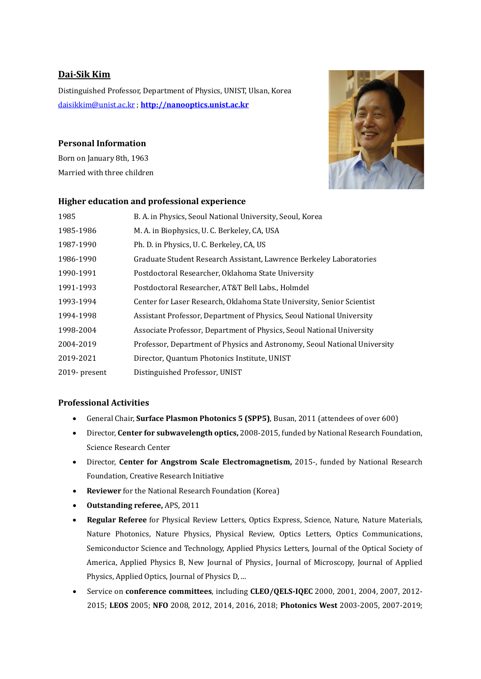# **Dai-Sik Kim**

Distinguished Professor, Department of Physics, UNIST, Ulsan, Korea [daisikkim@unist.ac.kr](mailto:daisikkim@unist.ac.kr) ; **[http://nanooptics.unist.ac.kr](http://nanooptics.unist.ac.kr/)**

# **Personal Information**

Born on January 8th, 1963 Married with three children



# **Higher education and professional experience**

| 1985          | B. A. in Physics, Seoul National University, Seoul, Korea                 |
|---------------|---------------------------------------------------------------------------|
| 1985-1986     | M. A. in Biophysics, U. C. Berkeley, CA, USA                              |
| 1987-1990     | Ph. D. in Physics, U. C. Berkeley, CA, US                                 |
| 1986-1990     | Graduate Student Research Assistant, Lawrence Berkeley Laboratories       |
| 1990-1991     | Postdoctoral Researcher, Oklahoma State University                        |
| 1991-1993     | Postdoctoral Researcher, AT&T Bell Labs., Holmdel                         |
| 1993-1994     | Center for Laser Research, Oklahoma State University, Senior Scientist    |
| 1994-1998     | Assistant Professor, Department of Physics, Seoul National University     |
| 1998-2004     | Associate Professor, Department of Physics, Seoul National University     |
| 2004-2019     | Professor, Department of Physics and Astronomy, Seoul National University |
| 2019-2021     | Director, Quantum Photonics Institute, UNIST                              |
| 2019- present | Distinguished Professor, UNIST                                            |

# **Professional Activities**

- General Chair, **Surface Plasmon Photonics 5 (SPP5)**, Busan, 2011 (attendees of over 600)
- Director, **Center for subwavelength optics,** 2008-2015, funded by National Research Foundation, Science Research Center
- Director, **Center for Angstrom Scale Electromagnetism,** 2015-, funded by National Research Foundation, Creative Research Initiative
- **Reviewer** for the National Research Foundation (Korea)
- **Outstanding referee,** APS, 2011
- **Regular Referee** for Physical Review Letters, Optics Express, Science, Nature, Nature Materials, Nature Photonics, Nature Physics, Physical Review, Optics Letters, Optics Communications, Semiconductor Science and Technology, Applied Physics Letters, Journal of the Optical Society of America, Applied Physics B, New Journal of Physics, Journal of Microscopy, Journal of Applied Physics, Applied Optics, Journal of Physics D, ...
- Service on **conference committees**, including **CLEO/QELS-IQEC** 2000, 2001, 2004, 2007, 2012- 2015; **LEOS** 2005; **NFO** 2008, 2012, 2014, 2016, 2018; **Photonics West** 2003-2005, 2007-2019;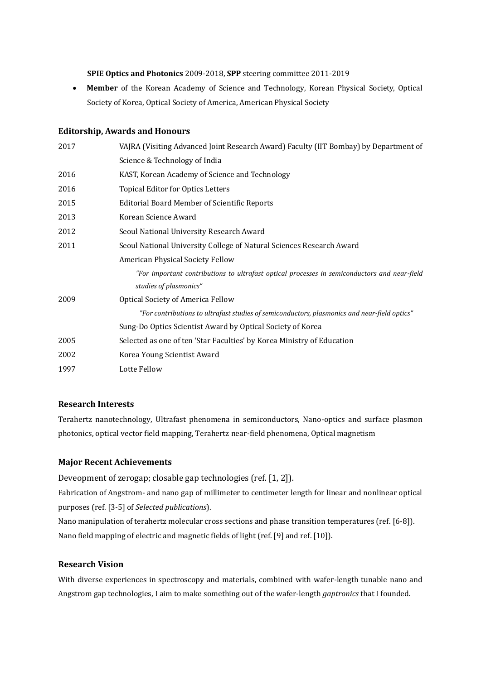**SPIE Optics and Photonics** 2009-2018, **SPP** steering committee 2011-2019

• **Member** of the Korean Academy of Science and Technology, Korean Physical Society, Optical Society of Korea, Optical Society of America, American Physical Society

# **Editorship, Awards and Honours**

| 2017 | VAJRA (Visiting Advanced Joint Research Award) Faculty (IIT Bombay) by Department of         |
|------|----------------------------------------------------------------------------------------------|
|      | Science & Technology of India                                                                |
| 2016 | KAST, Korean Academy of Science and Technology                                               |
| 2016 | <b>Topical Editor for Optics Letters</b>                                                     |
| 2015 | <b>Editorial Board Member of Scientific Reports</b>                                          |
| 2013 | Korean Science Award                                                                         |
| 2012 | Seoul National University Research Award                                                     |
| 2011 | Seoul National University College of Natural Sciences Research Award                         |
|      | American Physical Society Fellow                                                             |
|      | "For important contributions to ultrafast optical processes in semiconductors and near-field |
|      | studies of plasmonics"                                                                       |
| 2009 | <b>Optical Society of America Fellow</b>                                                     |
|      | "For contributions to ultrafast studies of semiconductors, plasmonics and near-field optics" |
|      | Sung-Do Optics Scientist Award by Optical Society of Korea                                   |
| 2005 | Selected as one of ten 'Star Faculties' by Korea Ministry of Education                       |
| 2002 | Korea Young Scientist Award                                                                  |
| 1997 | Lotte Fellow                                                                                 |

#### **Research Interests**

Terahertz nanotechnology, Ultrafast phenomena in semiconductors, Nano-optics and surface plasmon photonics, optical vector field mapping, Terahertz near-field phenomena, Optical magnetism

#### **Major Recent Achievements**

Deveopment of zerogap; closable gap technologies (ref. [1, 2]).

Fabrication of Angstrom- and nano gap of millimeter to centimeter length for linear and nonlinear optical purposes (ref. [3-5] of *Selected publications*).

Nano manipulation of terahertz molecular cross sections and phase transition temperatures (ref. [6-8]). Nano field mapping of electric and magnetic fields of light (ref. [9] and ref. [10]).

# **Research Vision**

With diverse experiences in spectroscopy and materials, combined with wafer-length tunable nano and Angstrom gap technologies, I aim to make something out of the wafer-length *gaptronics* that I founded.